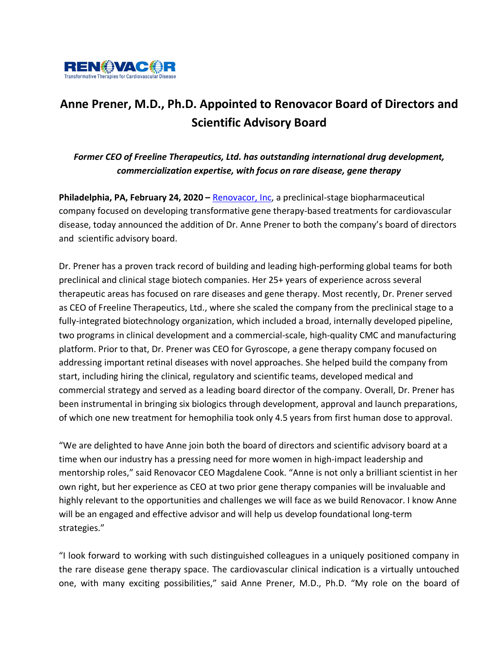

# **Anne Prener, M.D., Ph.D. Appointed to Renovacor Board of Directors and Scientific Advisory Board**

*Former CEO of Freeline Therapeutics, Ltd. has outstanding international drug development, commercialization expertise, with focus on rare disease, gene therapy*

**Philadelphia, PA, February 24, 2020 – Renovacor, Inc, a preclinical-stage biopharmaceutical** company focused on developing transformative gene therapy-based treatments for cardiovascular disease, today announced the addition of Dr. Anne Prener to both the company's board of directors and scientific advisory board.

Dr. Prener has a proven track record of building and leading high-performing global teams for both preclinical and clinical stage biotech companies. Her 25+ years of experience across several therapeutic areas has focused on rare diseases and gene therapy. Most recently, Dr. Prener served as CEO of Freeline Therapeutics, Ltd., where she scaled the company from the preclinical stage to a fully-integrated biotechnology organization, which included a broad, internally developed pipeline, two programs in clinical development and a commercial-scale, high-quality CMC and manufacturing platform. Prior to that, Dr. Prener was CEO for Gyroscope, a gene therapy company focused on addressing important retinal diseases with novel approaches. She helped build the company from start, including hiring the clinical, regulatory and scientific teams, developed medical and commercial strategy and served as a leading board director of the company. Overall, Dr. Prener has been instrumental in bringing six biologics through development, approval and launch preparations, of which one new treatment for hemophilia took only 4.5 years from first human dose to approval.

"We are delighted to have Anne join both the board of directors and scientific advisory board at a time when our industry has a pressing need for more women in high-impact leadership and mentorship roles," said Renovacor CEO Magdalene Cook. "Anne is not only a brilliant scientist in her own right, but her experience as CEO at two prior gene therapy companies will be invaluable and highly relevant to the opportunities and challenges we will face as we build Renovacor. I know Anne will be an engaged and effective advisor and will help us develop foundational long-term strategies."

"I look forward to working with such distinguished colleagues in a uniquely positioned company in the rare disease gene therapy space. The cardiovascular clinical indication is a virtually untouched one, with many exciting possibilities," said Anne Prener, M.D., Ph.D. "My role on the board of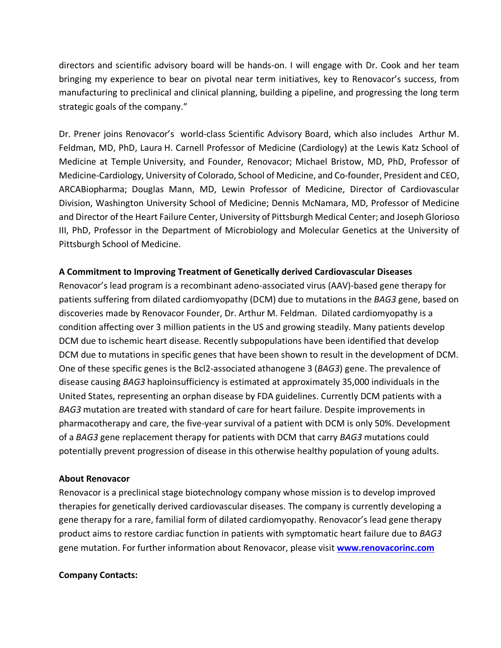directors and scientific advisory board will be hands-on. I will engage with Dr. Cook and her team bringing my experience to bear on pivotal near term initiatives, key to Renovacor's success, from manufacturing to preclinical and clinical planning, building a pipeline, and progressing the long term strategic goals of the company."

Dr. Prener joins Renovacor's world-class Scientific Advisory Board, which also includes Arthur M. Feldman, MD, PhD, Laura H. Carnell Professor of Medicine (Cardiology) at the Lewis Katz School of Medicine at Temple University, and Founder, Renovacor; Michael Bristow, MD, PhD, Professor of Medicine-Cardiology, University of Colorado, School of Medicine, and Co-founder, President and CEO, ARCABiopharma; Douglas Mann, MD, Lewin Professor of Medicine, Director of Cardiovascular Division, Washington University School of Medicine; Dennis McNamara, MD, Professor of Medicine and Director of the Heart Failure Center, University of Pittsburgh Medical Center; and Joseph Glorioso III, PhD, Professor in the Department of Microbiology and Molecular Genetics at the University of Pittsburgh School of Medicine.

### **A Commitment to Improving Treatment of Genetically derived Cardiovascular Diseases**

Renovacor's lead program is a recombinant adeno-associated virus (AAV)-based gene therapy for patients suffering from dilated cardiomyopathy (DCM) due to mutations in the *BAG3* gene, based on discoveries made by Renovacor Founder, Dr. Arthur M. Feldman. Dilated cardiomyopathy is a condition affecting over 3 million patients in the US and growing steadily. Many patients develop DCM due to ischemic heart disease. Recently subpopulations have been identified that develop DCM due to mutations in specific genes that have been shown to result in the development of DCM. One of these specific genes is the Bcl2-associated athanogene 3 (*BAG3*) gene. The prevalence of disease causing *BAG3* haploinsufficiency is estimated at approximately 35,000 individuals in the United States, representing an orphan disease by FDA guidelines. Currently DCM patients with a *BAG3* mutation are treated with standard of care for heart failure. Despite improvements in pharmacotherapy and care, the five-year survival of a patient with DCM is only 50%. Development of a *BAG3* gene replacement therapy for patients with DCM that carry *BAG3* mutations could potentially prevent progression of disease in this otherwise healthy population of young adults.

#### **About Renovacor**

Renovacor is a preclinical stage biotechnology company whose mission is to develop improved therapies for genetically derived cardiovascular diseases. The company is currently developing a gene therapy for a rare, familial form of dilated cardiomyopathy. Renovacor's lead gene therapy product aims to restore cardiac function in patients with symptomatic heart failure due to *BAG3* gene mutation. For further information about Renovacor, please visit **www.renovacorinc.com**

#### **Company Contacts:**